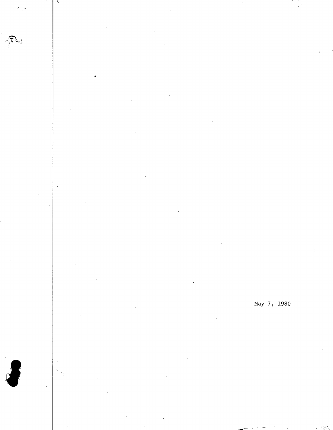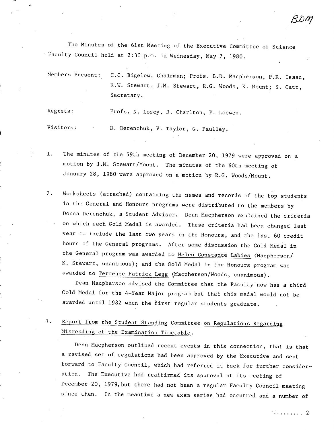The Minutes of the 61st Meeting of the Executive Committee of Science Faculty Council held at 2:30 p.m. on Wednesday, May 7, 1980.

Members Present: C.C. Bigelow, Chairman; Profs. B.D. Macpherson, P.K. Isaac, K.W. Stewart, J.M. Stewart, R.G. Woods, K. Mount; S. Catt, Secretary.

Regrets: Profs. N. Losey, J. Charlton, P. Loewen.

Visitors: D. Derenchuk, V. Taylor, G. Paulley.

 $1.$ The minutes of the 59th meeting of December 20, 1979 were approved on a motion by J.M. Stewart/Mount. The minutes of the 60th meeting of January 28, 1980 were approved on a motion by R.G. Woods/Mount.

Worksheets (attached) containing the names and records of the top students  $2.$ in the General and Honours programs were distributed to the members by Donna Derenchuk, a Student Advisor. Dean Macpherson explained the criteria on which each Gold Medal is awarded. These criteria had been changed last year to include the last two years in the Honours, and the last 60 credit hours of the General programs. After some discussion the Gold Medal in the General program was awarded to Helen Constance Labies (Macpherson/ K. Stewart, unanimous); and the Gold Medal in the Honours program was awarded to Terrence Patrick Legg (Macpherson/Woods, unanimous).

Dean Macpherson advised the Committee that the Faculty now has a third Gold Medal for the 4-Year Major program but that this medal would not be awarded until 1982 when the first regular students graduate.

 $3.$ Report from the Student Standing Committee on Regulations Regarding Misreading of the Examination Timetable.

Dean Macpherson outlined recent events in this connection, that is that a revised set of regulations had been approved by the Executive and sent forward to Faculty Council, which had referred it back for further consideration. The Executive had reaffirmed its approval at its meeting of December 20, 1979,but there had not been a regular Faculty Council meeting since then. In the meantime a new exam series had occurred and a number of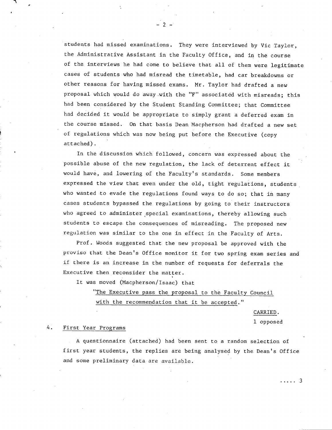students had missed examinations. They were interviewed by Vic Taylor, the Administrative Assistant in the Faculty Office, and in the course of the interviews he had come to believe that all of them were legitimate cases of students who had misread the timetable, had car breakdowns or other reasons for having missed exams. Mr. Taylor had drafted a new proposal which would do away .with the "F" associated with misreads; this had been considered by the Student Standing Committee; that Committee had decided it would be appropriate to simply grant a deferred exam in the course missed. On that basis Dean Macpherson had drafted a new set of regulations which was now being put before the Executive (copy attached).

-2-

In the discussion which followed, concern was expressed about the possible abuse of the new regulation, the lack of deterrent effect it would have, and lowering of the Faculty's standards. Some members expressed the view that even under the old, tight regulations, students who wanted to evade the regulations found ways to do so; that in many cases students bypassed the regulations by going to their instructors who agreed to administer special examinations, thereby allowing such students to escape the consequences of misreading. The proposed new regulation was similar to the one in effect in the Faculty of Arts.

Prof. Woods suggested that the new proposal be approved with the proviso that the Dean's Office monitor it for two spring exam series and if there is an increase in the number of requests for deferrals the Executive then reconsider the matter.

It was moved (Macpherson/Isaac) that

"The Executive pass the proposal to the Faculty Council with the recommendation that it be accepted."

CARRIED.

1 opposed

#### 4. First Year Programs

A questionnaire (attached) had been sent to a random selection of first year students, the replies are being analysed by the Dean's Office and some preliminary data are available.

. . . . . 3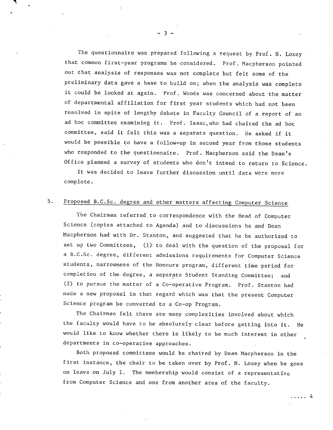The questionnaire was prepared following a request by Prof. N. Losey that common first-year programs be considered. Prof. Macpherson pointed out that analysis of responses was not complete but felt some of the preliminary data gave a base to build on; when the analysis was complete it could be looked at again. Prof. Woods was concerned about the matter of departmental affiliation for first year students which had not been resolved in spite of lengthy debate in Faculty Council of a report of an ad hoc committee examining it. Prof. Isaac,who had chaired the ad hoc committee, said it felt this was a separate question. He asked if it would be possible to have a follow-up in second year from those students who responded to the questionnaire. Prof. Macpherson said the Dean's Office planned a survey of students who don't intend to return to Science.

It was decided to leave further discussion until data were more complete.

### 5. Proposed B.C.Sc. degree and other matters affecting Computer Science

The Chairman referred.to correspondence with the Head of Computer Science (copies attached to Agenda) and to discussions he and Dean Macpherson had with Dr. Stanton, and suggested that he be authorized to set up two Committees, (1) to deal with the question of the proposal for a B.C.Sc. degree, different admissions requirements for Computer Science students, narrowness of the Honours program, different time period for completion of the degree, a separate Student Standing Committee; and (2) to pursue the matter of a Co-operative Program. Prof. Stanton had made a new proposal in that regard which was that the present Computer Science program be converted to a Co-op Program.

The Chairman felt there are many complexities involved about which the faculty would have to be absolutely clear before getting into it. He would like to know whether there is likely to be much interest in other departments in co-operative approaches.

Both proposed committees would be chaired by Dean Macpherson in the first instance, the chair to be taken over by Prof. N. Losey when he goes on leave on July 1. The membership would consist of a representative from Computer Science and one from another area of the faculty.

. . . . . 4

 $-3 -$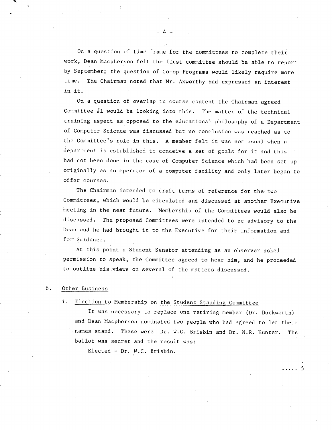On a question of time frame for the committees to complete their work, Dean Macpherson felt the first committee should be able to report by September; the question of Co-op Programs would likely require more time. The Chairman noted that Mr. Axworthy had expressed an interest in it.

On a question of overlap in course content the Chairman agreed Committee #1 would be looking into this. The matter of the technical training aspect as opposed to the educational philosophy of a Department of Computer Science was discussed but no conclusion was reached as to the Committee's role in this. A member felt it was not usual when a department is established to conceive a set of goals for it and this had not been done in the case of Computer Science which had been set up originally as an operator of a computer facility and only later began to offer courses.

The Chairman intended to draft terms of reference for the two Committees, which would be circulated and discussed at another Executive meeting in the near future. Membership of the Committees would also be discussed. The proposed Committees were intended to be advisory to the Dean and he had brought it to the Executive for their information and for guidance.

At this point a Student Senator attending as an observer asked permission to speak, the Committee agreed to hear him, and he proceeded to outline his views on several of the matters discussed.

#### 6. Other Business

#### i. Election to Membership on the Student Standing Committee

It was necessary to replace one retiring member (Dr. Duckworth) and Dean Macpherson nominated two people who had agreed to let their names stand. These were Dr. W.C. Brisbin and Dr. N.R. Hunter. The ballot was secret and the result was:

. . . . . 5

Elected - Dr. W.C. Brisbin.

-4-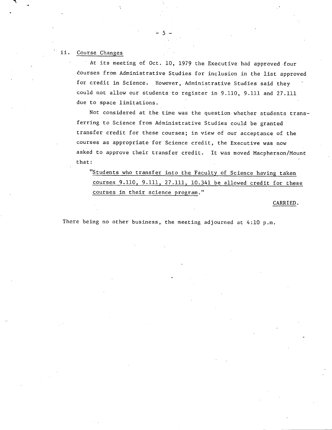#### ii. Course Changes

At its meeting of Oct. 10, 1979 the Executive had approved four dourses from Administrative Studies for inclusion in the list approved for credit in Science. However, Administrative Studies said they could not allow our students •to register in 9.110, 9.111 and 27.111 due to space limitations.

 $-5-$ 

Not considered at the time was the question whether students transferring to Science from Administrative Studies could be granted transfer credit for these courses; in view of our acceptance of the courses as appropriate for Science credit, the Executive was now asked to approve their transfer credit. It was moved Macpherson/Mount that:

"Students who transfer into the Faculty of Science having taken courses 9.110, 9.111, 27.111, 10.341 be allowed credit for these courses in their science program."

CARRIED.

There being no other business, the meeting adjourned at 4:10 p.m.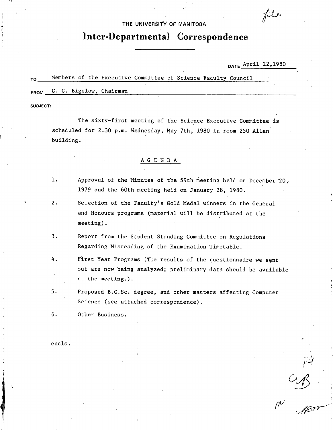#### THE UNIVERSITY **OF MANITOBA**

## **Inter-Departmental Correspondence**

DATE April 22,1980

file

 $M_{\text{max}}$ 

#### TO Members of the Executive Committee of Science Faculty Council

FROM C. C. Bigelow, Chairman

SUBJECT:

The sixty-first meeting of the Science Executive Committee is scheduled for 2.30 p.m. Wednesday, May 7th, 1980 in room 250 Allen' building.

### A G E N D A

- $1.$ Approval of the Minutes of the 59th meeting held on December '20,. 1979 and the 60th meeting held on January 28, 1980.  $\mathcal{L}^{\mathcal{L}}$
- $2.$ Selection of the Faculty's Gold Medal winners in the General and Honours programs (material will be distributed at the meeting).
- $3.$ Report from the Student Standing Committee on Regulations Regarding Misreading of the Examination Timetable.
- 4. First Year Programs (The results of the questionnaire we sent out are now being analyzed; preliminary data should be available at the meeting.).
- 5. Proposed B.C.Sc. degree, and other matters affecting Computer Science (see attached correspondence).

 $6.$ Other Business.

encls.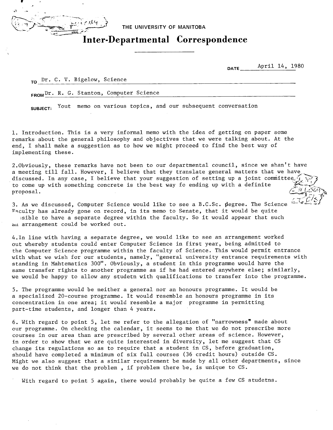

**THE UNIVERSITY OF MANITOBA** 

# **Inter-Departmental Correspondence**

**DATE** April 14, 1980

**TO** Dr. C. V. Bigelow, Science

FROM Dr. R. G. Stanton, Computer Science

**SUBJECT:** Yout memo on various topics, and our subsequent conversation

1. Introduction. This is a very informal memo with the idea of getting on paper some remarks about the general philosophy and objectives that we were talking about. At the end, I shall make a suggestion as to how we might proceed to find the best way of implementing these.

2.Obviously, these remarks have not been to our departmental council, since we shan't have a meeting till fall. However, I believe that they translate general matters that we have discussed. In any case, I believe that your suggestion of setting up a joint committee to come up with something concrete is the best way fo ending up with a definite proposal.

3. As we discussed, Computer Science would like to see a B.C.Sc. 1egree. The Science Faculty has already gone on record, in its memo to Senate, that it would be quite sible to have a separate degree within the faculty. So it would appear that such an arrangement could be worked out.

4.In line with having a separate degree, we would like to see an arrangement worked out whereby students could enter Computer Science in first year, being admitted to the Computer Science programme within the faculty of Science. This would permit entrance with what we wish for our students, namely, "general university entrance requirements with standing in Mahtematics 300". Obviously, a student in this programme would have the same transfer rights to another programme as if he had entered anywhere else; similarly, we would be happy to allow any studetn with qualifications to transfer into the programme.

The programme would be neither a general nor an honours programme. It would be a specialized 20-course programme. It would resemble an honours programme in its concentration in one area; it would resemble a major programme in permitting part-time students, and longer than 4 years.

6. With regard to point 5, let me refer to the allegation of "narrowness" made about our programme. On checking the calendar, it seems to me that we do not prescribe more courses in our area than are prescribed by several other areas of science. However, in order to show that we are quite interested in diversity, let me suggest that CS change its regulations so as to require that a student in CS, before graduation, should have completed a minimum of six full courses (36 credit hours) outside CS. Might we also suggest that a similar requirement be made by all other departments, since we do not think that the problem , if problem there be, is unique to CS.

With regard to point 5 again, there would probably be quite a few CS studetns.